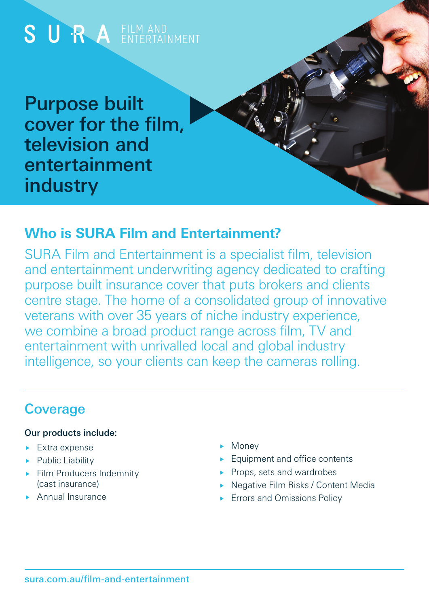

### **Who is SURA Film and Entertainment?**

SURA Film and Entertainment is a specialist film, television and entertainment underwriting agency dedicated to crafting purpose built insurance cover that puts brokers and clients centre stage. The home of a consolidated group of innovative veterans with over 35 years of niche industry experience, we combine a broad product range across film, TV and entertainment with unrivalled local and global industry intelligence, so your clients can keep the cameras rolling.

## **Coverage**

#### Our products include:

- **Extra expense**
- Public Liability
- $\blacktriangleright$  Film Producers Indemnity (cast insurance)
- **Annual Insurance**
- Money
- **Equipment and office contents**
- Props, sets and wardrobes
- ▶ Negative Film Risks / Content Media
- **Errors and Omissions Policy**